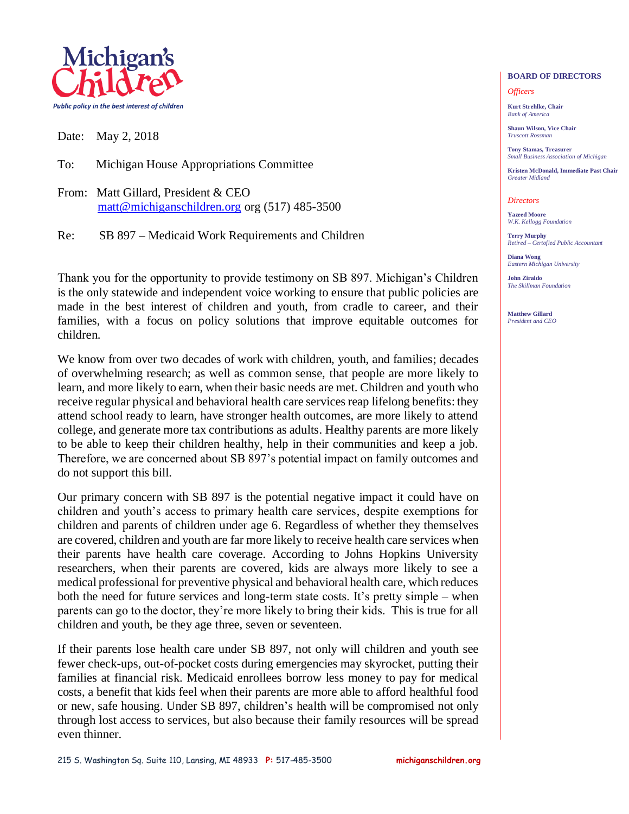

Date: May 2, 2018

To: Michigan House Appropriations Committee

From: Matt Gillard, President & CEO [matt@michiganschildren.org](mailto:matt@michiganschildren.org) org (517) 485-3500

Re: SB 897 – Medicaid Work Requirements and Children

Thank you for the opportunity to provide testimony on SB 897. Michigan's Children is the only statewide and independent voice working to ensure that public policies are made in the best interest of children and youth, from cradle to career, and their families, with a focus on policy solutions that improve equitable outcomes for children.

We know from over two decades of work with children, youth, and families; decades of overwhelming research; as well as common sense, that people are more likely to learn, and more likely to earn, when their basic needs are met. Children and youth who receive regular physical and behavioral health care services reap lifelong benefits: they attend school ready to learn, have stronger health outcomes, are more likely to attend college, and generate more tax contributions as adults. Healthy parents are more likely to be able to keep their children healthy, help in their communities and keep a job. Therefore, we are concerned about SB 897's potential impact on family outcomes and do not support this bill.

Our primary concern with SB 897 is the potential negative impact it could have on children and youth's access to primary health care services, despite exemptions for children and parents of children under age 6. Regardless of whether they themselves are covered, children and youth are far more likely to receive health care services when their parents have health care coverage. According to Johns Hopkins University researchers, when their parents are covered, kids are always more likely to see a medical professional for preventive physical and behavioral health care, which reduces both the need for future services and long-term state costs. It's pretty simple – when parents can go to the doctor, they're more likely to bring their kids. This is true for all children and youth, be they age three, seven or seventeen.

If their parents lose health care under SB 897, not only will children and youth see fewer check-ups, out-of-pocket costs during emergencies may skyrocket, putting their families at financial risk. Medicaid enrollees borrow less money to pay for medical costs, a benefit that kids feel when their parents are more able to afford healthful food or new, safe housing. Under SB 897, children's health will be compromised not only through lost access to services, but also because their family resources will be spread even thinner.

## *Bank of America*

*Officers* **Kurt Strehlke, Chair**

**Shaun Wilson, Vice Chair** *Truscott Rossman*

**Tony Stamas, Treasurer** *Small Business Association of Michigan*

**BOARD OF DIRECTORS**

**Kristen McDonald, Immediate Past Chair** *Greater Midland*

## *Directors*

**Yazeed Moore** *W.K. Kellogg Foundation*

**Terry Murphy** *Retired – Certofied Public Accountant*

**Diana Wong** *Eastern Michigan University*

**John Ziraldo** *The Skillman Foundation*

**Matthew Gillard** *President and CEO*